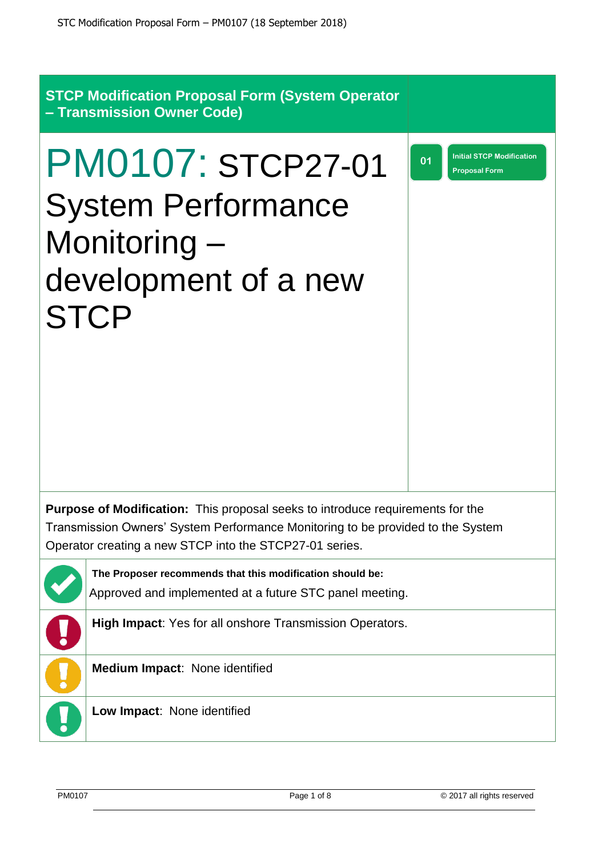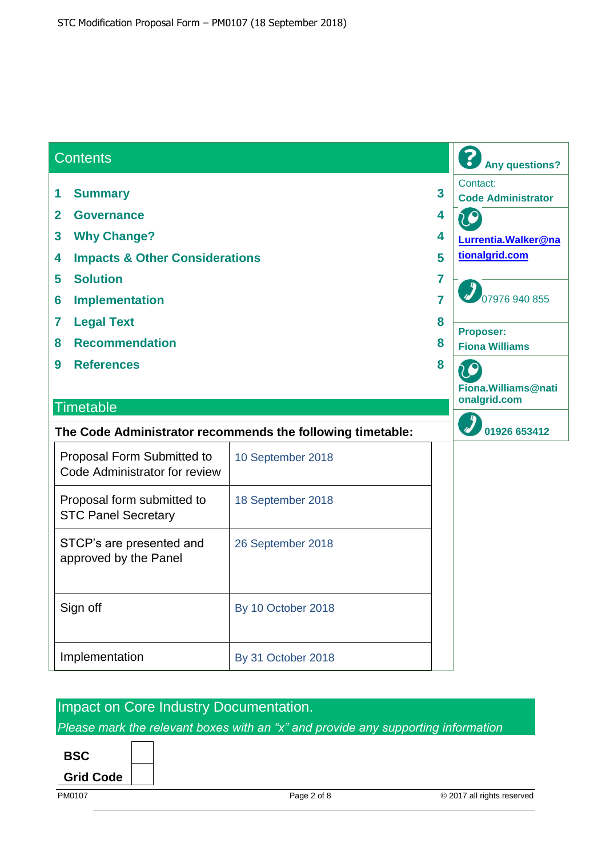| <b>Contents</b>                                                                                                                                                                                                                                       |                    | <b>Any questions?</b>                                                                                                                                                                                             |
|-------------------------------------------------------------------------------------------------------------------------------------------------------------------------------------------------------------------------------------------------------|--------------------|-------------------------------------------------------------------------------------------------------------------------------------------------------------------------------------------------------------------|
| <b>Summary</b><br>1<br>$\overline{2}$<br><b>Governance</b><br><b>Why Change?</b><br>3<br><b>Impacts &amp; Other Considerations</b><br>4<br><b>Solution</b><br>5<br><b>Implementation</b><br>6<br><b>Legal Text</b><br>7<br><b>Recommendation</b><br>8 |                    | Contact:<br>$\overline{\mathbf{3}}$<br><b>Code Administrator</b><br>4<br>4<br>Lurrentia. Walker@na<br>tionalgrid.com<br>5<br>7<br>07976 940 855<br>$\overline{7}$<br>8<br>Proposer:<br>8<br><b>Fiona Williams</b> |
| <b>References</b><br>9<br><b>Timetable</b>                                                                                                                                                                                                            |                    | 8<br>LO<br>Fiona. Williams@nati<br>onalgrid.com                                                                                                                                                                   |
| 01926 653412<br>The Code Administrator recommends the following timetable:                                                                                                                                                                            |                    |                                                                                                                                                                                                                   |
| Proposal Form Submitted to<br>Code Administrator for review                                                                                                                                                                                           | 10 September 2018  |                                                                                                                                                                                                                   |
| Proposal form submitted to<br><b>STC Panel Secretary</b>                                                                                                                                                                                              | 18 September 2018  |                                                                                                                                                                                                                   |
| STCP's are presented and<br>approved by the Panel                                                                                                                                                                                                     | 26 September 2018  |                                                                                                                                                                                                                   |
| Sign off                                                                                                                                                                                                                                              | By 10 October 2018 |                                                                                                                                                                                                                   |
| Implementation                                                                                                                                                                                                                                        | By 31 October 2018 |                                                                                                                                                                                                                   |

# Impact on Core Industry Documentation.

*Please mark the relevant boxes with an "x" and provide any supporting information*



**Grid Code**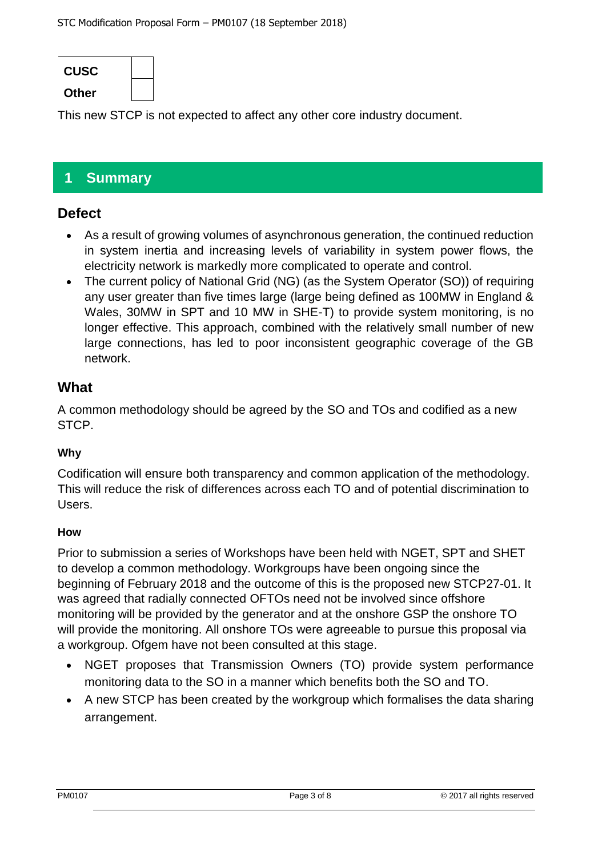

This new STCP is not expected to affect any other core industry document.

# **1 Summary**

### **Defect**

- As a result of growing volumes of asynchronous generation, the continued reduction in system inertia and increasing levels of variability in system power flows, the electricity network is markedly more complicated to operate and control.
- The current policy of National Grid (NG) (as the System Operator (SO)) of requiring any user greater than five times large (large being defined as 100MW in England & Wales, 30MW in SPT and 10 MW in SHE-T) to provide system monitoring, is no longer effective. This approach, combined with the relatively small number of new large connections, has led to poor inconsistent geographic coverage of the GB network.

### **What**

A common methodology should be agreed by the SO and TOs and codified as a new STCP.

### **Why**

Codification will ensure both transparency and common application of the methodology. This will reduce the risk of differences across each TO and of potential discrimination to Users.

#### **How**

Prior to submission a series of Workshops have been held with NGET, SPT and SHET to develop a common methodology. Workgroups have been ongoing since the beginning of February 2018 and the outcome of this is the proposed new STCP27-01. It was agreed that radially connected OFTOs need not be involved since offshore monitoring will be provided by the generator and at the onshore GSP the onshore TO will provide the monitoring. All onshore TOs were agreeable to pursue this proposal via a workgroup. Ofgem have not been consulted at this stage.

- NGET proposes that Transmission Owners (TO) provide system performance monitoring data to the SO in a manner which benefits both the SO and TO.
- A new STCP has been created by the workgroup which formalises the data sharing arrangement.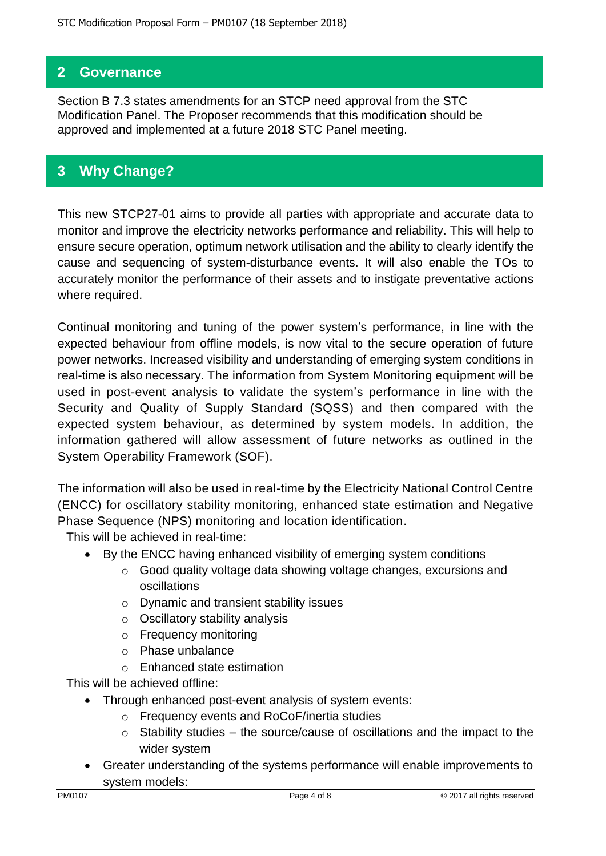## **2 Governance**

Section B 7.3 states amendments for an STCP need approval from the STC Modification Panel. The Proposer recommends that this modification should be approved and implemented at a future 2018 STC Panel meeting.

## **3 Why Change?**

This new STCP27-01 aims to provide all parties with appropriate and accurate data to monitor and improve the electricity networks performance and reliability. This will help to ensure secure operation, optimum network utilisation and the ability to clearly identify the cause and sequencing of system-disturbance events. It will also enable the TOs to accurately monitor the performance of their assets and to instigate preventative actions where required.

Continual monitoring and tuning of the power system's performance, in line with the expected behaviour from offline models, is now vital to the secure operation of future power networks. Increased visibility and understanding of emerging system conditions in real-time is also necessary. The information from System Monitoring equipment will be used in post-event analysis to validate the system's performance in line with the Security and Quality of Supply Standard (SQSS) and then compared with the expected system behaviour, as determined by system models. In addition, the information gathered will allow assessment of future networks as outlined in the System Operability Framework (SOF).

The information will also be used in real-time by the Electricity National Control Centre (ENCC) for oscillatory stability monitoring, enhanced state estimation and Negative Phase Sequence (NPS) monitoring and location identification.

This will be achieved in real-time:

- By the ENCC having enhanced visibility of emerging system conditions
	- o Good quality voltage data showing voltage changes, excursions and oscillations
	- o Dynamic and transient stability issues
	- o Oscillatory stability analysis
	- o Frequency monitoring
	- o Phase unbalance
	- o Enhanced state estimation

This will be achieved offline:

- Through enhanced post-event analysis of system events:
	- o Frequency events and RoCoF/inertia studies
	- $\circ$  Stability studies the source/cause of oscillations and the impact to the wider system
- Greater understanding of the systems performance will enable improvements to system models: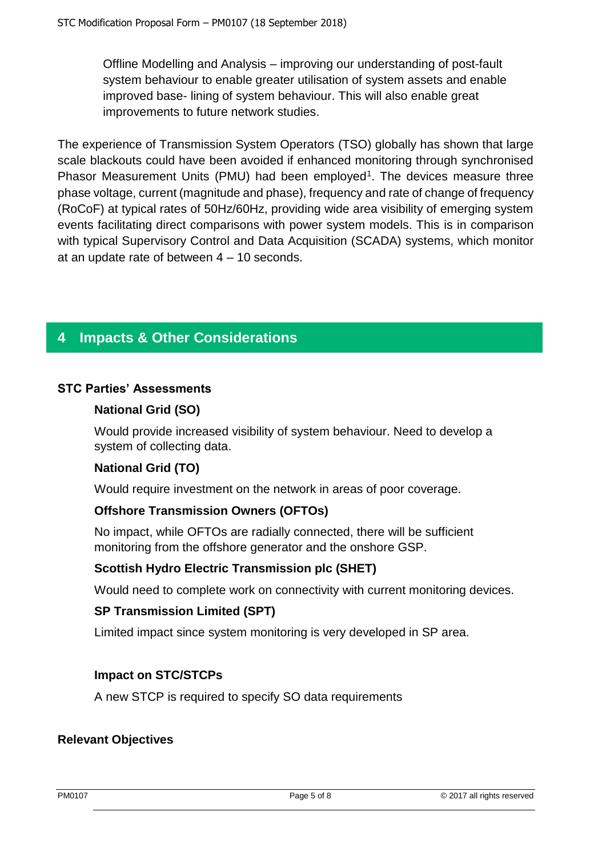Offline Modelling and Analysis – improving our understanding of post-fault system behaviour to enable greater utilisation of system assets and enable improved base- lining of system behaviour. This will also enable great improvements to future network studies.

The experience of Transmission System Operators (TSO) globally has shown that large scale blackouts could have been avoided if enhanced monitoring through synchronised Phasor Measurement Units (PMU) had been employed<sup>1</sup>. The devices measure three phase voltage, current (magnitude and phase), frequency and rate of change of frequency (RoCoF) at typical rates of 50Hz/60Hz, providing wide area visibility of emerging system events facilitating direct comparisons with power system models. This is in comparison with typical Supervisory Control and Data Acquisition (SCADA) systems, which monitor at an update rate of between 4 – 10 seconds.

## **4 Impacts & Other Considerations**

#### **STC Parties' Assessments**

#### **National Grid (SO)**

Would provide increased visibility of system behaviour. Need to develop a system of collecting data.

#### **National Grid (TO)**

Would require investment on the network in areas of poor coverage.

#### **Offshore Transmission Owners (OFTOs)**

No impact, while OFTOs are radially connected, there will be sufficient monitoring from the offshore generator and the onshore GSP.

#### **Scottish Hydro Electric Transmission plc (SHET)**

Would need to complete work on connectivity with current monitoring devices.

#### **SP Transmission Limited (SPT)**

Limited impact since system monitoring is very developed in SP area.

#### **Impact on STC/STCPs**

A new STCP is required to specify SO data requirements

#### **Relevant Objectives**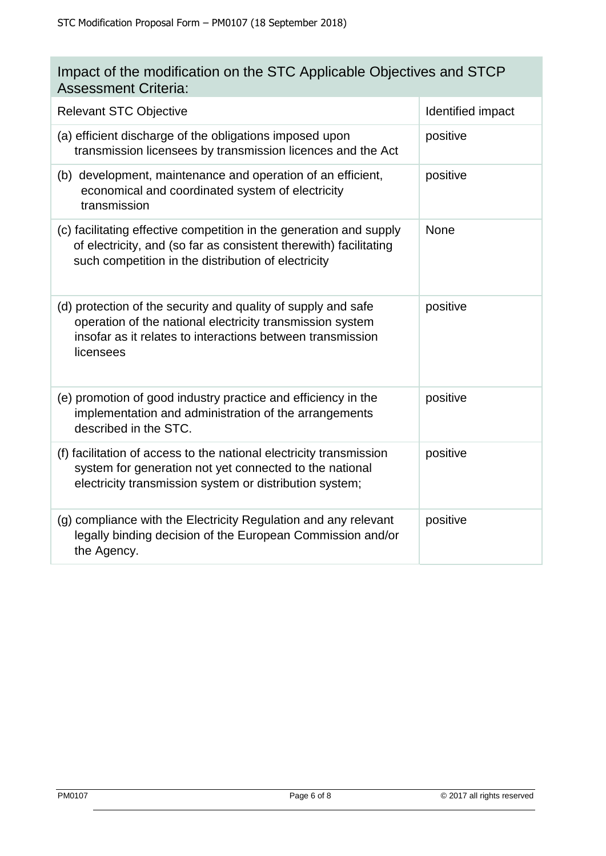| Impact of the modification on the STC Applicable Objectives and STCP |  |
|----------------------------------------------------------------------|--|
| <b>Assessment Criteria:</b>                                          |  |

| <b>Relevant STC Objective</b>                                                                                                                                                                         | Identified impact |
|-------------------------------------------------------------------------------------------------------------------------------------------------------------------------------------------------------|-------------------|
| (a) efficient discharge of the obligations imposed upon<br>transmission licensees by transmission licences and the Act                                                                                | positive          |
| (b) development, maintenance and operation of an efficient,<br>economical and coordinated system of electricity<br>transmission                                                                       | positive          |
| (c) facilitating effective competition in the generation and supply<br>of electricity, and (so far as consistent therewith) facilitating<br>such competition in the distribution of electricity       | <b>None</b>       |
| (d) protection of the security and quality of supply and safe<br>operation of the national electricity transmission system<br>insofar as it relates to interactions between transmission<br>licensees | positive          |
| (e) promotion of good industry practice and efficiency in the<br>implementation and administration of the arrangements<br>described in the STC.                                                       | positive          |
| (f) facilitation of access to the national electricity transmission<br>system for generation not yet connected to the national<br>electricity transmission system or distribution system;             | positive          |
| (g) compliance with the Electricity Regulation and any relevant<br>legally binding decision of the European Commission and/or<br>the Agency.                                                          | positive          |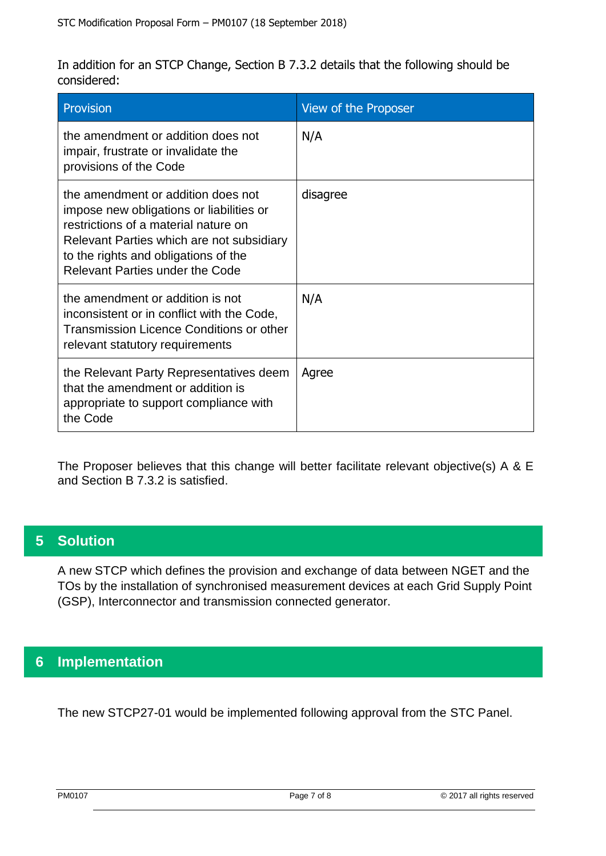In addition for an STCP Change, Section B 7.3.2 details that the following should be considered:

| <b>Provision</b>                                                                                                                                                                                                                               | View of the Proposer |
|------------------------------------------------------------------------------------------------------------------------------------------------------------------------------------------------------------------------------------------------|----------------------|
| the amendment or addition does not<br>impair, frustrate or invalidate the<br>provisions of the Code                                                                                                                                            | N/A                  |
| the amendment or addition does not<br>impose new obligations or liabilities or<br>restrictions of a material nature on<br>Relevant Parties which are not subsidiary<br>to the rights and obligations of the<br>Relevant Parties under the Code | disagree             |
| the amendment or addition is not<br>inconsistent or in conflict with the Code,<br><b>Transmission Licence Conditions or other</b><br>relevant statutory requirements                                                                           | N/A                  |
| the Relevant Party Representatives deem<br>that the amendment or addition is<br>appropriate to support compliance with<br>the Code                                                                                                             | Agree                |

The Proposer believes that this change will better facilitate relevant objective(s) A & E and Section B 7.3.2 is satisfied.

## **5 Solution**

A new STCP which defines the provision and exchange of data between NGET and the TOs by the installation of synchronised measurement devices at each Grid Supply Point (GSP), Interconnector and transmission connected generator.

## **6 Implementation**

The new STCP27-01 would be implemented following approval from the STC Panel.